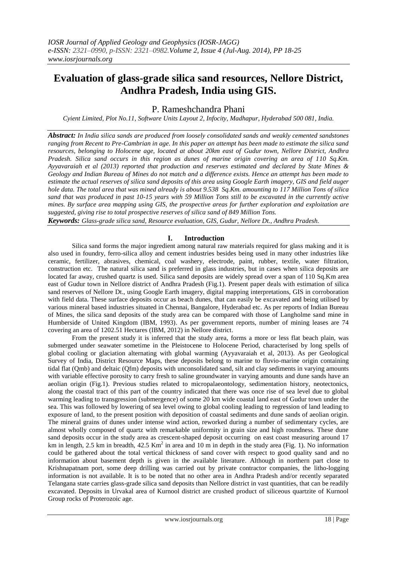# **Evaluation of glass-grade silica sand resources, Nellore District, Andhra Pradesh, India using GIS.**

P. Rameshchandra Phani

*Cyient Limited, Plot No.11, Software Units Layout 2, Infocity, Madhapur, Hyderabad 500 081, India.*

*Abstract: In India silica sands are produced from loosely consolidated sands and weakly cemented sandstones ranging from Recent to Pre-Cambrian in age. In this paper an attempt has been made to estimate the silica sand resources, belonging to Holocene age, located at about 20km east of Gudur town, Nellore District, Andhra Pradesh. Silica sand occurs in this region as dunes of marine origin covering an area of 110 Sq.Km. Ayyavaraiah et al (2013) reported that production and reserves estimated and declared by State Mines & Geology and Indian Bureau of Mines do not match and a difference exists. Hence an attempt has been made to estimate the actual reserves of silica sand deposits of this area using Google Earth imagery, GIS and field auger hole data. The total area that was mined already is about 9.538 Sq.Km. amounting to 117 Million Tons of silica sand that was produced in past 10-15 years with 59 Million Tons still to be excavated in the currently active mines. By surface area mapping using GIS, the prospective areas for further exploration and exploitation are suggested, giving rise to total prospective reserves of silica sand of 849 Million Tons.*

*Keywords: Glass-grade silica sand, Resource evaluation, GIS, Gudur, Nellore Dt., Andhra Pradesh.*

# **I. Introduction**

Silica sand forms the major ingredient among natural raw materials required for glass making and it is also used in foundry, ferro-silica alloy and cement industries besides being used in many other industries like ceramic, fertilizer, abrasives, chemical, coal washery, electrode, paint, rubber, textile, water filtration, construction etc. The natural silica sand is preferred in glass industries, but in cases when silica deposits are located far away, crushed quartz is used. Silica sand deposits are widely spread over a span of 110 Sq.Km area east of Gudur town in Nellore district of Andhra Pradesh (Fig.1). Present paper deals with estimation of silica sand reserves of Nellore Dt., using Google Earth imagery, digital mapping interpretations, GIS in corroboration with field data. These surface deposits occur as beach dunes, that can easily be excavated and being utilised by various mineral based industries situated in Chennai, Bangalore, Hyderabad etc. As per reports of Indian Bureau of Mines, the silica sand deposits of the study area can be compared with those of Langholme sand mine in Humberside of United Kingdom (IBM, 1993). As per government reports, number of mining leases are 74 covering an area of 1202.51 Hectares (IBM, 2012) in Nellore district.

From the present study it is inferred that the study area, forms a more or less flat beach plain, was submerged under seawater sometime in the Pleistocene to Holocene Period, characterised by long spells of global cooling or glaciation alternating with global warming (Ayyavaraiah et al, 2013). As per Geological Survey of India, District Resource Maps, these deposits belong to marine to fluvio-marine origin containing tidal flat (Qmb) and deltaic (Qfm) deposits with unconsolidated sand, silt and clay sediments in varying amounts with variable effective porosity to carry fresh to saline groundwater in varying amounts and dune sands have an aeolian origin (Fig.1). Previous studies related to micropalaeontology, sedimentation history, neotectonics, along the coastal tract of this part of the country indicated that there was once rise of sea level due to global warming leading to transgression (submergence) of some 20 km wide coastal land east of Gudur town under the sea. This was followed by lowering of sea level owing to global cooling leading to regression of land leading to exposure of land, to the present position with deposition of coastal sediments and dune sands of aeolian origin. The mineral grains of dunes under intense wind action, reworked during a number of sedimentary cycles, are almost wholly composed of quartz with remarkable uniformity in grain size and high roundness. These dune sand deposits occur in the study area as crescent-shaped deposit occurring on east coast measuring around 17 km in length, 2.5 km in breadth,  $42.5 \text{ Km}^2$  in area and 10 m in depth in the study area (Fig. 1). No information could be gathered about the total vertical thickness of sand cover with respect to good quality sand and no information about basement depth is given in the available literature. Although in northern part close to Krishnapatnam port, some deep drilling was carried out by private contractor companies, the litho-logging information is not available. It is to be noted that no other area in Andhra Pradesh and/or recently separated Telangana state carries glass-grade silica sand deposits than Nellore district in vast quantities, that can be readily excavated. Deposits in Urvakal area of Kurnool district are crushed product of siliceous quartzite of Kurnool Group rocks of Proterozoic age.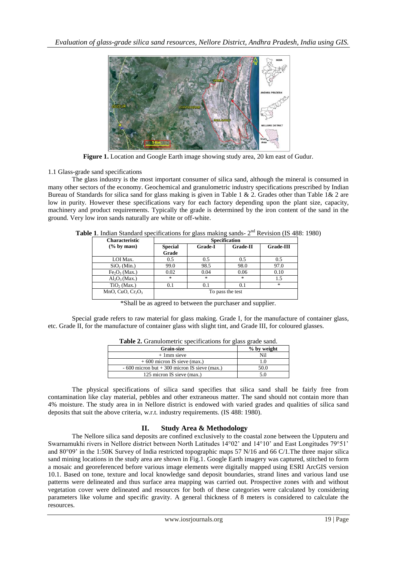

**Figure 1.** Location and Google Earth image showing study area, 20 km east of Gudur.

# 1.1 Glass-grade sand specifications

The glass industry is the most important consumer of silica sand, although the mineral is consumed in many other sectors of the economy. Geochemical and granulometric industry specifications prescribed by Indian Bureau of Standards for silica sand for glass making is given in Table 1 & 2. Grades other than Table 1& 2 are low in purity. However these specifications vary for each factory depending upon the plant size, capacity, machinery and product requirements. Typically the grade is determined by the iron content of the sand in the ground. Very low iron sands naturally are white or off-white.

Table 1. Indian Standard specifications for glass making sands- 2<sup>nd</sup> Revision (IS 488: 1980)

| <b>Characteristic</b>                 | <b>Specification</b>              |         |                 |                                   |  |
|---------------------------------------|-----------------------------------|---------|-----------------|-----------------------------------|--|
| $(\%$ by mass)                        | <b>Special</b>                    | Grade-I | <b>Grade-II</b> | <b>Grade-III</b>                  |  |
|                                       | Grade                             |         |                 |                                   |  |
| LOI Max.                              | 0.5                               | 0.5     | 0.5             | 0.5                               |  |
| SiO <sub>2</sub> (Min.)               | 99.0                              | 98.5    | 98.0            | 97.0                              |  |
| Fe <sub>2</sub> O <sub>3</sub> (Max.) | 0.02                              | 0.04    | 0.06            | 0.10                              |  |
| $Al_2O_3(Max.)$                       | $\frac{d\mathbf{x}}{d\mathbf{x}}$ | 冰       | $*$             | 1.5                               |  |
| $TiO2$ (Max.)                         | 0.1                               | 0.1     | 0.1             | $\frac{d\mathbf{x}}{d\mathbf{x}}$ |  |
| MnO, CuO, $Cr_2O_3$                   | To pass the test                  |         |                 |                                   |  |

\*Shall be as agreed to between the purchaser and supplier.

Special grade refers to raw material for glass making. Grade I, for the manufacture of container glass, etc. Grade II, for the manufacture of container glass with slight tint, and Grade III, for coloured glasses.

| <b>Grain-size</b>                               | % by weight |
|-------------------------------------------------|-------------|
| $+1$ mm sieve                                   | Nil         |
| $+600$ micron IS sieve (max.)                   |             |
| $-600$ micron but $+300$ micron IS sieve (max.) | 50.0        |
| 125 micron IS sieve (max.)                      |             |

**Table 2.** Granulometric specifications for glass grade sand.

The physical specifications of silica sand specifies that silica sand shall be fairly free from contamination like clay material, pebbles and other extraneous matter. The sand should not contain more than 4% moisture. The study area in in Nellore district is endowed with varied grades and qualities of silica sand deposits that suit the above criteria, w.r.t. industry requirements. (IS 488: 1980).

# **II. Study Area & Methodology**

The Nellore silica sand deposits are confined exclusively to the coastal zone between the Upputeru and Swarnamukhi rivers in Nellore district between North Latitudes 14°02' and 14°10' and East Longitudes 79°51' and 80°09' in the 1:50K Survey of India restricted topographic maps 57 N/16 and 66 C/1.The three major silica sand mining locations in the study area are shown in Fig.1. Google Earth imagery was captured, stitched to form a mosaic and georeferenced before various image elements were digitally mapped using ESRI ArcGIS version 10.1. Based on tone, texture and local knowledge sand deposit boundaries, strand lines and various land use patterns were delineated and thus surface area mapping was carried out. Prospective zones with and without vegetation cover were delineated and resources for both of these categories were calculated by considering parameters like volume and specific gravity. A general thickness of 8 meters is considered to calculate the resources.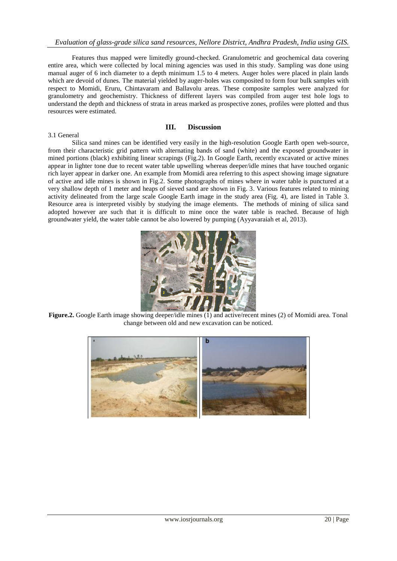Features thus mapped were limitedly ground-checked. Granulometric and geochemical data covering entire area, which were collected by local mining agencies was used in this study. Sampling was done using manual auger of 6 inch diameter to a depth minimum 1.5 to 4 meters. Auger holes were placed in plain lands which are devoid of dunes. The material yielded by auger-holes was composited to form four bulk samples with respect to Momidi, Eruru, Chintavaram and Ballavolu areas. These composite samples were analyzed for granulometry and geochemistry. Thickness of different layers was compiled from auger test hole logs to understand the depth and thickness of strata in areas marked as prospective zones, profiles were plotted and thus resources were estimated.

#### 3.1 General

## **III. Discussion**

Silica sand mines can be identified very easily in the high-resolution Google Earth open web-source, from their characteristic grid pattern with alternating bands of sand (white) and the exposed groundwater in mined portions (black) exhibiting linear scrapings (Fig.2). In Google Earth, recently excavated or active mines appear in lighter tone due to recent water table upwelling whereas deeper/idle mines that have touched organic rich layer appear in darker one. An example from Momidi area referring to this aspect showing image signature of active and idle mines is shown in Fig.2. Some photographs of mines where in water table is punctured at a very shallow depth of 1 meter and heaps of sieved sand are shown in Fig. 3. Various features related to mining activity delineated from the large scale Google Earth image in the study area (Fig. 4), are listed in Table 3. Resource area is interpreted visibly by studying the image elements. The methods of mining of silica sand adopted however are such that it is difficult to mine once the water table is reached. Because of high groundwater yield, the water table cannot be also lowered by pumping (Ayyavaraiah et al, 2013).



**Figure.2.** Google Earth image showing deeper/idle mines (1) and active/recent mines (2) of Momidi area. Tonal change between old and new excavation can be noticed.

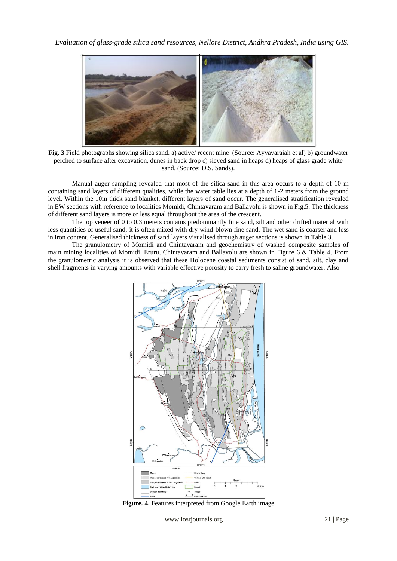

**Fig. 3** Field photographs showing silica sand. a) active/ recent mine (Source: Ayyavaraiah et al) b) groundwater perched to surface after excavation, dunes in back drop c) sieved sand in heaps d) heaps of glass grade white sand. (Source: D.S. Sands).

Manual auger sampling revealed that most of the silica sand in this area occurs to a depth of 10 m containing sand layers of different qualities, while the water table lies at a depth of 1-2 meters from the ground level. Within the 10m thick sand blanket, different layers of sand occur. The generalised stratification revealed in EW sections with reference to localities Momidi, Chintavaram and Ballavolu is shown in Fig.5. The thickness of different sand layers is more or less equal throughout the area of the crescent.

The top veneer of 0 to 0.3 meters contains predominantly fine sand, silt and other drifted material with less quantities of useful sand; it is often mixed with dry wind-blown fine sand. The wet sand is coarser and less in iron content. Generalised thickness of sand layers visualised through auger sections is shown in Table 3.

The granulometry of Momidi and Chintavaram and geochemistry of washed composite samples of main mining localities of Momidi, Eruru, Chintavaram and Ballavolu are shown in Figure 6 & Table 4. From the granulometric analysis it is observed that these Holocene coastal sediments consist of sand, silt, clay and shell fragments in varying amounts with variable effective porosity to carry fresh to saline groundwater. Also



**Figure. 4.** Features interpreted from Google Earth image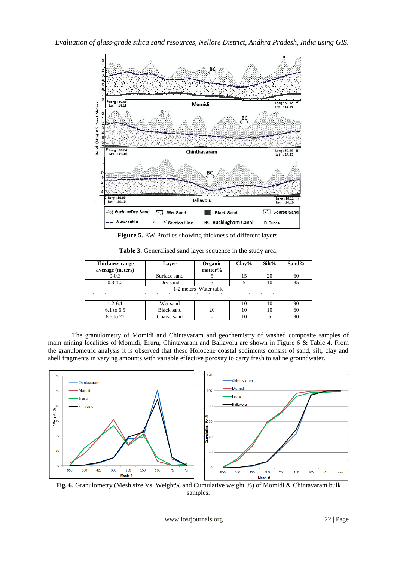

**Figure 5.** EW Profiles showing thickness of different layers.

| <b>Thickness range</b><br>Layer |                   | Organic<br>matter% | $Clay\%$ | Silt% | Sand% |  |
|---------------------------------|-------------------|--------------------|----------|-------|-------|--|
| average (meters)                |                   |                    |          |       |       |  |
| $0 - 0.3$                       | Surface sand      |                    | 15       | 20    | 60    |  |
| $0.3 - 1.2$                     | Dry sand          |                    |          | 10    | 85    |  |
| 1-2 meters Water table          |                   |                    |          |       |       |  |
| $1.2 - 6.1$                     | Wet sand          |                    | 10       | 10    | 90    |  |
| 6.1 to 6.5                      | <b>Black sand</b> | 20                 | 10       | 10    | 60    |  |
| 6.5 to 21<br>Coarse sand        |                   |                    | 10       |       | 90    |  |

**Table 3.** Generalised sand layer sequence in the study area.

The granulometry of Momidi and Chintavaram and geochemistry of washed composite samples of main mining localities of Momidi, Eruru, Chintavaram and Ballavolu are shown in Figure 6 & Table 4. From the granulometric analysis it is observed that these Holocene coastal sediments consist of sand, silt, clay and shell fragments in varying amounts with variable effective porosity to carry fresh to saline groundwater.



**Fig. 6.** Granulometry (Mesh size Vs. Weight% and Cumulative weight %) of Momidi & Chintavaram bulk samples.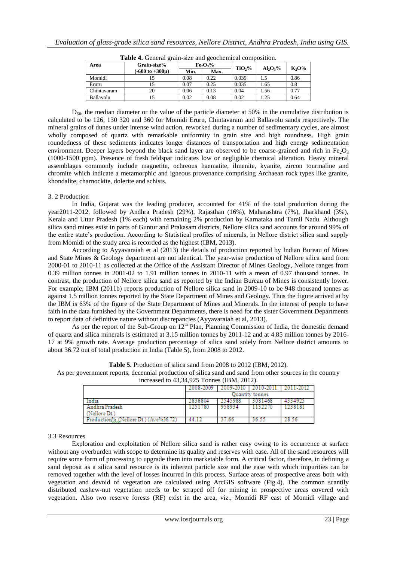| Area        | Grain-size%                        | Fe <sub>2</sub> O <sub>3</sub> % |      |                    |             | $K_2O\%$ |
|-------------|------------------------------------|----------------------------------|------|--------------------|-------------|----------|
|             | $(-600 \text{ to } +300 \text{µ})$ | Min.                             | Max. | TiO <sub>2</sub> % | $Al_2O_3\%$ |          |
| Momidi      |                                    | 0.08                             | 0.22 | 0.039              |             | 0.86     |
| Eruru       |                                    | 0.07                             | 0.25 | 0.035              | 1.65        | 0.8      |
| Chintavaram | 20                                 | 0.06                             | 0.13 | 0.04               | 1.56        | 0.77     |
| Ballavolu   |                                    | 0.02                             | 0.08 | 0.02               | l.25        | 0.64     |

**Table 4.** General grain-size and geochemical composition.

 $D_{50}$ , the median diameter or the value of the particle diameter at 50% in the cumulative distribution is calculated to be 126, 130 320 and 360 for Momidi Eruru, Chintavaram and Ballavolu sands respectively. The mineral grains of dunes under intense wind action, reworked during a number of sedimentary cycles, are almost wholly composed of quartz with remarkable uniformity in grain size and high roundness. High grain roundedness of these sediments indicates longer distances of transportation and high energy sedimentation environment. Deeper layers beyond the black sand layer are observed to be coarse-grained and rich in Fe<sub>2</sub>O<sub>3</sub> (1000-1500 ppm). Presence of fresh feldspar indicates low or negligible chemical alteration. Heavy mineral assemblages commonly include magnetite, ochreous haematite, ilmenite, kyanite, zircon tourmaline and chromite which indicate a metamorphic and igneous provenance comprising Archaean rock types like granite, khondalite, charnockite, dolerite and schists.

### 3. 2 Production

In India, Gujarat was the leading producer, accounted for 41% of the total production during the year2011-2012, followed by Andhra Pradesh (29%), Rajasthan (16%), Maharashtra (7%), Jharkhand (3%), Kerala and Uttar Pradesh (1% each) with remaining 2% production by Karnataka and Tamil Nadu. Although silica sand mines exist in parts of Guntur and Prakasam districts, Nellore silica sand accounts for around 99% of the entire state's production. According to Statistical profiles of minerals, in Nellore district silica sand supply from Momidi of the study area is recorded as the highest (IBM, 2013).

According to Ayyavaraiah et al (2013) the details of production reported by Indian Bureau of Mines and State Mines & Geology department are not identical. The year-wise production of Nellore silica sand from 2000-01 to 2010-11 as collected at the Office of the Assistant Director of Mines Geology, Nellore ranges from 0.39 million tonnes in 2001-02 to 1.91 million tonnes in 2010-11 with a mean of 0.97 thousand tonnes. In contrast, the production of Nellore silica sand as reported by the Indian Bureau of Mines is consistently lower. For example, IBM (2011b) reports production of Nellore silica sand in 2009-10 to be 948 thousand tonnes as against 1.5 million tonnes reported by the State Department of Mines and Geology. Thus the figure arrived at by the IBM is 63% of the figure of the State Department of Mines and Minerals. In the interest of people to have faith in the data furnished by the Government Departments, there is need for the sister Government Departments to report data of definitive nature without discrepancies (Ayyavaraiah et al, 2013).

As per the report of the Sub-Group on  $12<sup>th</sup>$  Plan, Planning Commission of India, the domestic demand of quartz and silica minerals is estimated at 3.15 million tonnes by 2011-12 and at 4.85 million tonnes by 2016- 17 at 9% growth rate. Average production percentage of silica sand solely from Nellore district amounts to about 36.72 out of total production in India (Table 5), from 2008 to 2012.

| INCREASED to $43,34,923$ Tomes (IDM, $2012$ ). |                 |           |           |           |  |  |
|------------------------------------------------|-----------------|-----------|-----------|-----------|--|--|
|                                                | 2008-2009       | 2009-2010 | 2010-2011 | 4011-2017 |  |  |
|                                                | Juantity tonnes |           |           |           |  |  |
| India                                          | 2836804         | талчки    | US1468    | 534925    |  |  |
| Andhra Pradesh                                 | 251780          | 958934    |           |           |  |  |
| (Nellore Dt.)                                  |                 |           |           |           |  |  |
| Production% (Nellore Dt.) (Ave%36.72)          |                 |           |           |           |  |  |

**Table 5.** Production of silica sand from 2008 to 2012 (IBM, 2012). As per government reports, decennial production of silica sand and sand from other sources in the country

 $\frac{1}{2}$  increased to 42,24,025  $\frac{1}{2}$  Tonnes (IBM, 2012).

3.3 Resources

Exploration and exploitation of Nellore silica sand is rather easy owing to its occurrence at surface without any overburden with scope to determine its quality and reserves with ease. All of the sand resources will require some form of processing to upgrade them into marketable form. A critical factor, therefore, in defining a sand deposit as a silica sand resource is its inherent particle size and the ease with which impurities can be removed together with the level of losses incurred in this process. Surface areas of prospective areas both with vegetation and devoid of vegetation are calculated using ArcGIS software (Fig.4). The common scantily distributed cashew-nut vegetation needs to be scraped off for mining in prospective areas covered with vegetation. Also two reserve forests (RF) exist in the area, viz., Momidi RF east of Momidi village and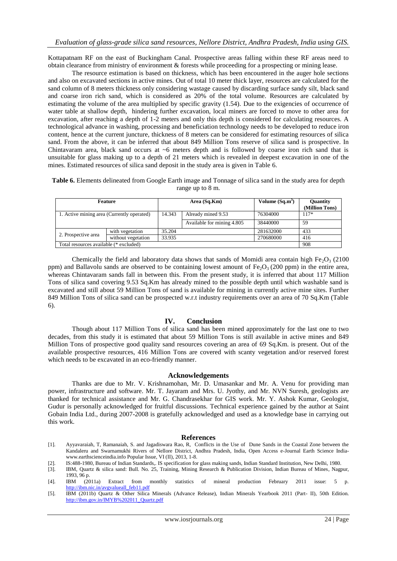Kottapatnam RF on the east of Buckingham Canal. Prospective areas falling within these RF areas need to obtain clearance from ministry of environment & forests while proceeding for a prospecting or mining lease.

The resource estimation is based on thickness, which has been encountered in the auger hole sections and also on excavated sections in active mines. Out of total 10 meter thick layer, resources are calculated for the sand column of 8 meters thickness only considering wastage caused by discarding surface sandy silt, black sand and coarse iron rich sand, which is considered as 20% of the total volume. Resources are calculated by estimating the volume of the area multiplied by specific gravity (1.54). Due to the exigencies of occurrence of water table at shallow depth, hindering further excavation, local miners are forced to move to other area for excavation, after reaching a depth of 1-2 meters and only this depth is considered for calculating resources. A technological advance in washing, processing and beneficiation technology needs to be developed to reduce iron content, hence at the current juncture, thickness of 8 meters can be considered for estimating resources of silica sand. From the above, it can be inferred that about 849 Million Tons reserve of silica sand is prospective. In Chintavaram area, black sand occurs at  $~6$  meters depth and is followed by coarse iron rich sand that is unsuitable for glass making up to a depth of 21 meters which is revealed in deepest excavation in one of the mines. Estimated resources of silica sand deposit in the study area is given in Table 6.

**Table 6.** Elements delineated from Google Earth image and Tonnage of silica sand in the study area for depth range up to 8 m.

| <b>Feature</b>                             |                    | Area (Sq.Km) |                            | Volume (Sq.m <sup>3</sup> ) | <b>Ouantity</b><br>(Million Tons) |
|--------------------------------------------|--------------------|--------------|----------------------------|-----------------------------|-----------------------------------|
| 1. Active mining area (Currently operated) |                    | 14.343       | Already mined 9.53         | 76304000                    | $117*$                            |
|                                            |                    |              | Available for mining 4.805 | 38440000                    | 59                                |
|                                            | with vegetation    | 35.204       |                            | 281632000                   | 433                               |
| 2. Prospective area                        | without vegetation | 33.935       |                            | 270680000                   | 416                               |
| Total resources available (* excluded)     |                    |              |                            |                             | 908                               |

Chemically the field and laboratory data shows that sands of Momidi area contain high Fe<sub>2</sub>O<sub>3</sub> (2100) ppm) and Ballavolu sands are observed to be containing lowest amount of Fe<sub>2</sub>O<sub>3</sub> (200 ppm) in the entire area, whereas Chintavaram sands fall in between this. From the present study, it is inferred that about 117 Million Tons of silica sand covering 9.53 Sq.Km has already mined to the possible depth until which washable sand is excavated and still about 59 Million Tons of sand is available for mining in currently active mine sites. Further 849 Million Tons of silica sand can be prospected w.r.t industry requirements over an area of 70 Sq.Km (Table 6).

## **IV. Conclusion**

Though about 117 Million Tons of silica sand has been mined approximately for the last one to two decades, from this study it is estimated that about 59 Million Tons is still available in active mines and 849 Million Tons of prospective good quality sand resources covering an area of 69 Sq.Km. is present. Out of the available prospective resources, 416 Million Tons are covered with scanty vegetation and/or reserved forest which needs to be excavated in an eco-friendly manner.

## **Acknowledgements**

Thanks are due to Mr. V. Krishnamohan, Mr. D. Umasankar and Mr. A. Venu for providing man power, infrastructure and software. Mr. T. Jayaram and Mrs. U. Jyothy, and Mr. NVN Suresh, geologists are thanked for technical assistance and Mr. G. Chandrasekhar for GIS work. Mr. Y. Ashok Kumar, Geologist, Gudur is personally acknowledged for fruitful discussions. Technical experience gained by the author at Saint Gobain India Ltd., during 2007-2008 is gratefully acknowledged and used as a knowledge base in carrying out this work.

#### **References**

- [1]. Ayyavaraiah, T, Ramanaiah, S. and Jagadiswara Rao, R, Conflicts in the Use of Dune Sands in the Coastal Zone between the Kandaleru and Swarnamukhi Rivers of Nellore District, Andhra Pradesh, India, Open Access e-Journal Earth Science Indiawww.earthscienceindia.info Popular Issue, VI (II), 2013, 1-8.
- [2]. IS:488-1980, Bureau of Indian Standards,. IS specification for glass making sands, Indian Standard Institution, New Delhi, 1980.
- [3]. IBM, Quartz & silica sand: Bull. No. 25, Training, Mining Research & Publication Division, Indian Bureau of Mines, Nagpur, 1993, 96 p.<br>IBM (2011a) Extract
- [4]. IBM (2011a) Extract from monthly statistics of mineral production February 2011 issue: 5 p. [http://ibm.nic.in/avgvalueall\\_feb11.pdf](http://ibm.nic.in/avgvalueall_feb11.pdf)
- [5]. IBM (2011b) Quartz & Other Silica Minerals (Advance Release), Indian Minerals Yearbook 2011 (Part- II), 50th Edition. [http://ibm.gov.in/IMYB%202011\\_Quartz.pdf](http://ibm.gov.in/IMYB%202011_Quartz.pdf)